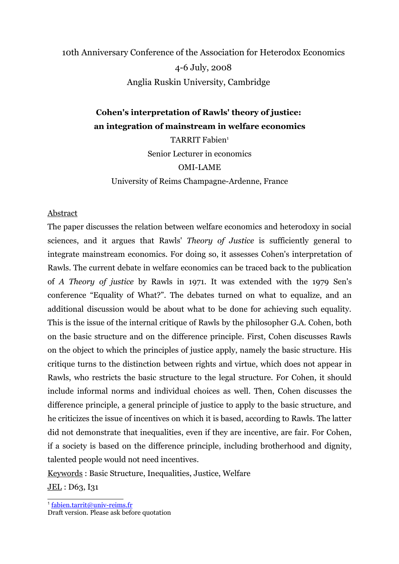# 10th Anniversary Conference of the Association for Heterodox Economics 4-6 July, 2008 Anglia Ruskin University, Cambridge

# **Cohen's interpretation of Rawls' theory of justice: an integration of mainstream in welfare economics**

TARRIT Fabien<sup>[1](#page-0-0)</sup> Senior Lecturer in economics OMI-LAME University of Reims Champagne-Ardenne, France

# Abstract

The paper discusses the relation between welfare economics and heterodoxy in social sciences, and it argues that Rawls' *Theory of Justice* is sufficiently general to integrate mainstream economics. For doing so, it assesses Cohen's interpretation of Rawls. The current debate in welfare economics can be traced back to the publication of *A Theory of justice* by Rawls in 1971. It was extended with the 1979 Sen's conference "Equality of What?". The debates turned on what to equalize, and an additional discussion would be about what to be done for achieving such equality. This is the issue of the internal critique of Rawls by the philosopher G.A. Cohen, both on the basic structure and on the difference principle. First, Cohen discusses Rawls on the object to which the principles of justice apply, namely the basic structure. His critique turns to the distinction between rights and virtue, which does not appear in Rawls, who restricts the basic structure to the legal structure. For Cohen, it should include informal norms and individual choices as well. Then, Cohen discusses the difference principle, a general principle of justice to apply to the basic structure, and he criticizes the issue of incentives on which it is based, according to Rawls. The latter did not demonstrate that inequalities, even if they are incentive, are fair. For Cohen, if a society is based on the difference principle, including brotherhood and dignity, talented people would not need incentives.

Keywords : Basic Structure, Inequalities, Justice, Welfare

JEL : D63, I31

<span id="page-0-0"></span>1 [fabien.tarrit@univ-reims.fr](mailto:fabien.tarrit@univ-reims.fr)

Draft version. Please ask before quotation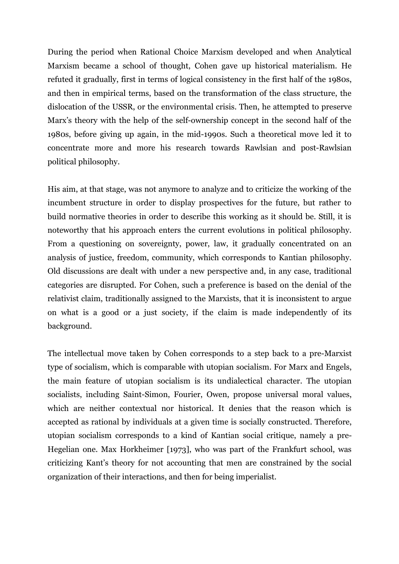During the period when Rational Choice Marxism developed and when Analytical Marxism became a school of thought, Cohen gave up historical materialism. He refuted it gradually, first in terms of logical consistency in the first half of the 1980s, and then in empirical terms, based on the transformation of the class structure, the dislocation of the USSR, or the environmental crisis. Then, he attempted to preserve Marx's theory with the help of the self-ownership concept in the second half of the 1980s, before giving up again, in the mid-1990s. Such a theoretical move led it to concentrate more and more his research towards Rawlsian and post-Rawlsian political philosophy.

His aim, at that stage, was not anymore to analyze and to criticize the working of the incumbent structure in order to display prospectives for the future, but rather to build normative theories in order to describe this working as it should be. Still, it is noteworthy that his approach enters the current evolutions in political philosophy. From a questioning on sovereignty, power, law, it gradually concentrated on an analysis of justice, freedom, community, which corresponds to Kantian philosophy. Old discussions are dealt with under a new perspective and, in any case, traditional categories are disrupted. For Cohen, such a preference is based on the denial of the relativist claim, traditionally assigned to the Marxists, that it is inconsistent to argue on what is a good or a just society, if the claim is made independently of its background.

The intellectual move taken by Cohen corresponds to a step back to a pre-Marxist type of socialism, which is comparable with utopian socialism. For Marx and Engels, the main feature of utopian socialism is its undialectical character. The utopian socialists, including Saint-Simon, Fourier, Owen, propose universal moral values, which are neither contextual nor historical. It denies that the reason which is accepted as rational by individuals at a given time is socially constructed. Therefore, utopian socialism corresponds to a kind of Kantian social critique, namely a pre-Hegelian one. Max Horkheimer [1973], who was part of the Frankfurt school, was criticizing Kant's theory for not accounting that men are constrained by the social organization of their interactions, and then for being imperialist.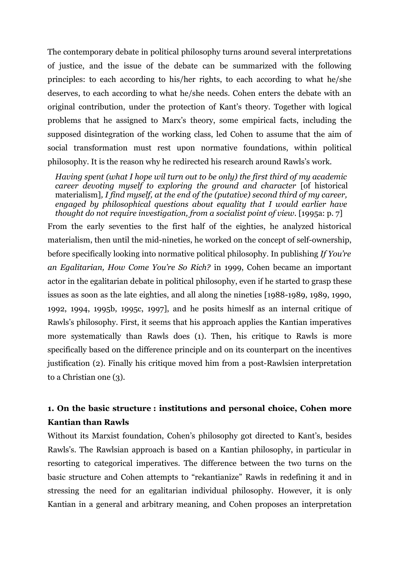The contemporary debate in political philosophy turns around several interpretations of justice, and the issue of the debate can be summarized with the following principles: to each according to his/her rights, to each according to what he/she deserves, to each according to what he/she needs. Cohen enters the debate with an original contribution, under the protection of Kant's theory. Together with logical problems that he assigned to Marx's theory, some empirical facts, including the supposed disintegration of the working class, led Cohen to assume that the aim of social transformation must rest upon normative foundations, within political philosophy. It is the reason why he redirected his research around Rawls's work.

*Having spent (what I hope wil turn out to be only) the first third of my academic career devoting myself to exploring the ground and character* [of historical materialism]*, I find myself, at the end of the (putative) second third of my career, engaged by philosophical questions about equality that I would earlier have thought do not require investigation, from a socialist point of view.* [1995a: p. 7]

From the early seventies to the first half of the eighties, he analyzed historical materialism, then until the mid-nineties, he worked on the concept of self-ownership, before specifically looking into normative political philosophy. In publishing *If You're an Egalitarian, How Come You're So Rich?* in 1999, Cohen became an important actor in the egalitarian debate in political philosophy, even if he started to grasp these issues as soon as the late eighties, and all along the nineties [1988-1989, 1989, 1990, 1992, 1994, 1995b, 1995c, 1997], and he posits himeslf as an internal critique of Rawls's philosophy. First, it seems that his approach applies the Kantian imperatives more systematically than Rawls does (1). Then, his critique to Rawls is more specifically based on the difference principle and on its counterpart on the incentives justification (2). Finally his critique moved him from a post-Rawlsien interpretation to a Christian one (3).

# **1. On the basic structure : institutions and personal choice, Cohen more Kantian than Rawls**

Without its Marxist foundation, Cohen's philosophy got directed to Kant's, besides Rawls's. The Rawlsian approach is based on a Kantian philosophy, in particular in resorting to categorical imperatives. The difference between the two turns on the basic structure and Cohen attempts to "rekantianize" Rawls in redefining it and in stressing the need for an egalitarian individual philosophy. However, it is only Kantian in a general and arbitrary meaning, and Cohen proposes an interpretation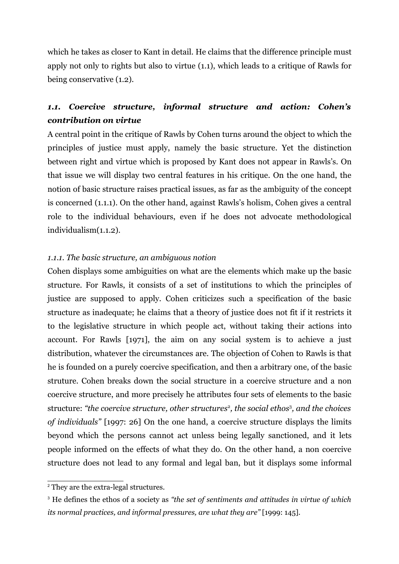which he takes as closer to Kant in detail. He claims that the difference principle must apply not only to rights but also to virtue (1.1), which leads to a critique of Rawls for being conservative (1.2).

# *1.1. Coercive structure, informal structure and action: Cohen's contribution on virtue*

A central point in the critique of Rawls by Cohen turns around the object to which the principles of justice must apply, namely the basic structure. Yet the distinction between right and virtue which is proposed by Kant does not appear in Rawls's. On that issue we will display two central features in his critique. On the one hand, the notion of basic structure raises practical issues, as far as the ambiguity of the concept is concerned (1.1.1). On the other hand, against Rawls's holism, Cohen gives a central role to the individual behaviours, even if he does not advocate methodological individualism(1.1.2).

# *1.1.1. The basic structure, an ambiguous notion*

Cohen displays some ambiguities on what are the elements which make up the basic structure. For Rawls, it consists of a set of institutions to which the principles of justice are supposed to apply. Cohen criticizes such a specification of the basic structure as inadequate; he claims that a theory of justice does not fit if it restricts it to the legislative structure in which people act, without taking their actions into account. For Rawls [1971], the aim on any social system is to achieve a just distribution, whatever the circumstances are. The objection of Cohen to Rawls is that he is founded on a purely coercive specification, and then a arbitrary one, of the basic struture. Cohen breaks down the social structure in a coercive structure and a non coercive structure, and more precisely he attributes four sets of elements to the basic structure: *"the coercive structure, other structures*[2](#page-3-0) *, the social ethos*[3](#page-3-1) *, and the choices of individuals"* [1997: 26] On the one hand, a coercive structure displays the limits beyond which the persons cannot act unless being legally sanctioned, and it lets people informed on the effects of what they do. On the other hand, a non coercive structure does not lead to any formal and legal ban, but it displays some informal

<span id="page-3-0"></span><sup>2</sup> They are the extra-legal structures.

<span id="page-3-1"></span><sup>3</sup> He defines the ethos of a society as *"the set of sentiments and attitudes in virtue of which its normal practices, and informal pressures, are what they are"* [1999: 145].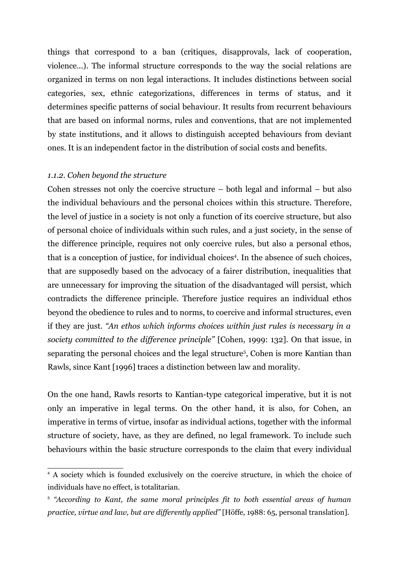things that correspond to a ban (critiques, disapprovals, lack of cooperation, violence...). The informal structure corresponds to the way the social relations are organized in terms on non legal interactions. It includes distinctions between social categories, sex, ethnic categorizations, differences in terms of status, and it determines specific patterns of social behaviour. It results from recurrent behaviours that are based on informal norms, rules and conventions, that are not implemented by state institutions, and it allows to distinguish accepted behaviours from deviant ones. It is an independent factor in the distribution of social costs and benefits.

### *1.1.2. Cohen beyond the structure*

Cohen stresses not only the coercive structure – both legal and informal – but also the individual behaviours and the personal choices within this structure. Therefore, the level of justice in a society is not only a function of its coercive structure, but also of personal choice of individuals within such rules, and a just society, in the sense of the difference principle, requires not only coercive rules, but also a personal ethos, that is a conception of justice, for individual choices<sup>[4](#page-4-0)</sup>. In the absence of such choices, that are supposedly based on the advocacy of a fairer distribution, inequalities that are unnecessary for improving the situation of the disadvantaged will persist, which contradicts the difference principle. Therefore justice requires an individual ethos beyond the obedience to rules and to norms, to coercive and informal structures, even if they are just. *"An ethos which informs choices within just rules is necessary in a society committed to the difference principle"* [Cohen, 1999: 132]. On that issue, in separating the personal choices and the legal structure<sup>[5](#page-4-1)</sup>, Cohen is more Kantian than Rawls, since Kant [1996] traces a distinction between law and morality.

On the one hand, Rawls resorts to Kantian-type categorical imperative, but it is not only an imperative in legal terms. On the other hand, it is also, for Cohen, an imperative in terms of virtue, insofar as individual actions, together with the informal structure of society, have, as they are defined, no legal framework. To include such behaviours within the basic structure corresponds to the claim that every individual

<span id="page-4-0"></span><sup>4</sup> A society which is founded exclusively on the coercive structure, in which the choice of individuals have no effect, is totalitarian.

<span id="page-4-1"></span><sup>5</sup> *"According to Kant, the same moral principles fit to both essential areas of human practice, virtue and law, but are differently applied"* [Höffe, 1988: 65, personal translation].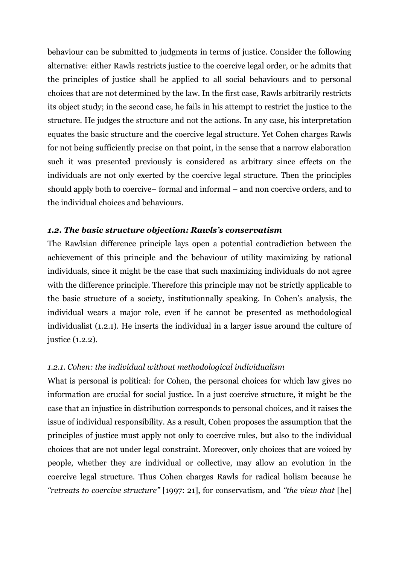behaviour can be submitted to judgments in terms of justice. Consider the following alternative: either Rawls restricts justice to the coercive legal order, or he admits that the principles of justice shall be applied to all social behaviours and to personal choices that are not determined by the law. In the first case, Rawls arbitrarily restricts its object study; in the second case, he fails in his attempt to restrict the justice to the structure. He judges the structure and not the actions. In any case, his interpretation equates the basic structure and the coercive legal structure. Yet Cohen charges Rawls for not being sufficiently precise on that point, in the sense that a narrow elaboration such it was presented previously is considered as arbitrary since effects on the individuals are not only exerted by the coercive legal structure. Then the principles should apply both to coercive– formal and informal – and non coercive orders, and to the individual choices and behaviours.

# *1.2. The basic structure objection: Rawls's conservatism*

The Rawlsian difference principle lays open a potential contradiction between the achievement of this principle and the behaviour of utility maximizing by rational individuals, since it might be the case that such maximizing individuals do not agree with the difference principle. Therefore this principle may not be strictly applicable to the basic structure of a society, institutionnally speaking. In Cohen's analysis, the individual wears a major role, even if he cannot be presented as methodological individualist (1.2.1). He inserts the individual in a larger issue around the culture of justice (1.2.2).

# *1.2.1. Cohen: the individual without methodological individualism*

What is personal is political: for Cohen, the personal choices for which law gives no information are crucial for social justice. In a just coercive structure, it might be the case that an injustice in distribution corresponds to personal choices, and it raises the issue of individual responsibility. As a result, Cohen proposes the assumption that the principles of justice must apply not only to coercive rules, but also to the individual choices that are not under legal constraint. Moreover, only choices that are voiced by people, whether they are individual or collective, may allow an evolution in the coercive legal structure. Thus Cohen charges Rawls for radical holism because he *"retreats to coercive structure"* [1997: 21], for conservatism, and *"the view that* [he]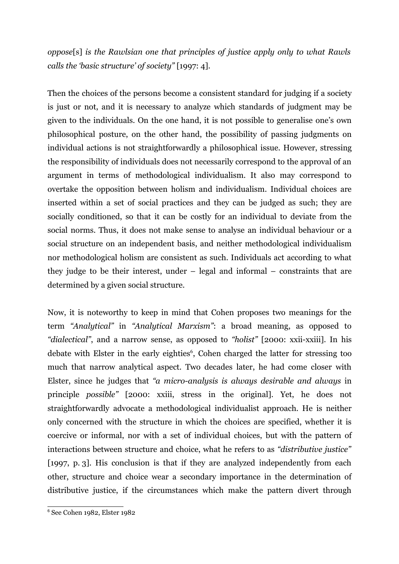*oppose*[s] *is the Rawlsian one that principles of justice apply only to what Rawls calls the 'basic structure' of society"* [1997: 4].

Then the choices of the persons become a consistent standard for judging if a society is just or not, and it is necessary to analyze which standards of judgment may be given to the individuals. On the one hand, it is not possible to generalise one's own philosophical posture, on the other hand, the possibility of passing judgments on individual actions is not straightforwardly a philosophical issue. However, stressing the responsibility of individuals does not necessarily correspond to the approval of an argument in terms of methodological individualism. It also may correspond to overtake the opposition between holism and individualism. Individual choices are inserted within a set of social practices and they can be judged as such; they are socially conditioned, so that it can be costly for an individual to deviate from the social norms. Thus, it does not make sense to analyse an individual behaviour or a social structure on an independent basis, and neither methodological individualism nor methodological holism are consistent as such. Individuals act according to what they judge to be their interest, under – legal and informal – constraints that are determined by a given social structure.

Now, it is noteworthy to keep in mind that Cohen proposes two meanings for the term *"Analytical"* in *"Analytical Marxism"*: a broad meaning, as opposed to *"dialectical"*, and a narrow sense, as opposed to *"holist"* [2000: xxii-xxiii]. In his debate with Elster in the early eighties<sup>[6](#page-6-0)</sup>, Cohen charged the latter for stressing too much that narrow analytical aspect. Two decades later, he had come closer with Elster, since he judges that *"a micro-analysis is always desirable and always* in principle *possible"* [2000: xxiii, stress in the original]. Yet, he does not straightforwardly advocate a methodological individualist approach. He is neither only concerned with the structure in which the choices are specified, whether it is coercive or informal, nor with a set of individual choices, but with the pattern of interactions between structure and choice, what he refers to as *"distributive justice"* [1997, p. 3]. His conclusion is that if they are analyzed independently from each other, structure and choice wear a secondary importance in the determination of distributive justice, if the circumstances which make the pattern divert through

<span id="page-6-0"></span><sup>6</sup> See Cohen 1982, Elster 1982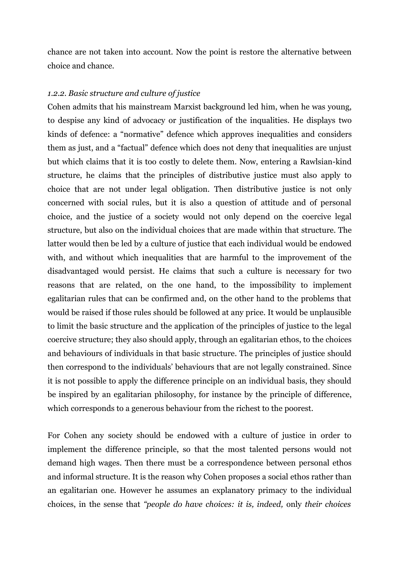chance are not taken into account. Now the point is restore the alternative between choice and chance.

#### *1.2.2. Basic structure and culture of justice*

Cohen admits that his mainstream Marxist background led him, when he was young, to despise any kind of advocacy or justification of the inqualities. He displays two kinds of defence: a "normative" defence which approves inequalities and considers them as just, and a "factual" defence which does not deny that inequalities are unjust but which claims that it is too costly to delete them. Now, entering a Rawlsian-kind structure, he claims that the principles of distributive justice must also apply to choice that are not under legal obligation. Then distributive justice is not only concerned with social rules, but it is also a question of attitude and of personal choice, and the justice of a society would not only depend on the coercive legal structure, but also on the individual choices that are made within that structure. The latter would then be led by a culture of justice that each individual would be endowed with, and without which inequalities that are harmful to the improvement of the disadvantaged would persist. He claims that such a culture is necessary for two reasons that are related, on the one hand, to the impossibility to implement egalitarian rules that can be confirmed and, on the other hand to the problems that would be raised if those rules should be followed at any price. It would be unplausible to limit the basic structure and the application of the principles of justice to the legal coercive structure; they also should apply, through an egalitarian ethos, to the choices and behaviours of individuals in that basic structure. The principles of justice should then correspond to the individuals' behaviours that are not legally constrained. Since it is not possible to apply the difference principle on an individual basis, they should be inspired by an egalitarian philosophy, for instance by the principle of difference, which corresponds to a generous behaviour from the richest to the poorest.

For Cohen any society should be endowed with a culture of justice in order to implement the difference principle, so that the most talented persons would not demand high wages. Then there must be a correspondence between personal ethos and informal structure. It is the reason why Cohen proposes a social ethos rather than an egalitarian one. However he assumes an explanatory primacy to the individual choices, in the sense that *"people do have choices: it is, indeed,* only *their choices*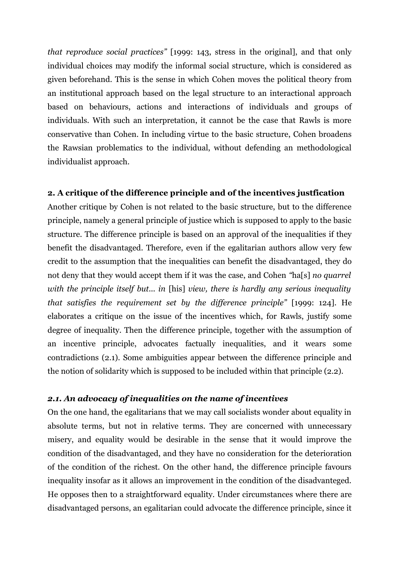*that reproduce social practices"* [1999: 143, stress in the original], and that only individual choices may modify the informal social structure, which is considered as given beforehand. This is the sense in which Cohen moves the political theory from an institutional approach based on the legal structure to an interactional approach based on behaviours, actions and interactions of individuals and groups of individuals. With such an interpretation, it cannot be the case that Rawls is more conservative than Cohen. In including virtue to the basic structure, Cohen broadens the Rawsian problematics to the individual, without defending an methodological individualist approach.

# **2. A critique of the difference principle and of the incentives justfication**

Another critique by Cohen is not related to the basic structure, but to the difference principle, namely a general principle of justice which is supposed to apply to the basic structure. The difference principle is based on an approval of the inequalities if they benefit the disadvantaged. Therefore, even if the egalitarian authors allow very few credit to the assumption that the inequalities can benefit the disadvantaged, they do not deny that they would accept them if it was the case, and Cohen *"*ha[s] *no quarrel with the principle itself but... in* [his] *view, there is hardly any serious inequality that satisfies the requirement set by the difference principle"* [1999: 124]. He elaborates a critique on the issue of the incentives which, for Rawls, justify some degree of inequality. Then the difference principle, together with the assumption of an incentive principle, advocates factually inequalities, and it wears some contradictions (2.1). Some ambiguities appear between the difference principle and the notion of solidarity which is supposed to be included within that principle (2.2).

# *2.1. An advocacy of inequalities on the name of incentives*

On the one hand, the egalitarians that we may call socialists wonder about equality in absolute terms, but not in relative terms. They are concerned with unnecessary misery, and equality would be desirable in the sense that it would improve the condition of the disadvantaged, and they have no consideration for the deterioration of the condition of the richest. On the other hand, the difference principle favours inequality insofar as it allows an improvement in the condition of the disadvanteged. He opposes then to a straightforward equality. Under circumstances where there are disadvantaged persons, an egalitarian could advocate the difference principle, since it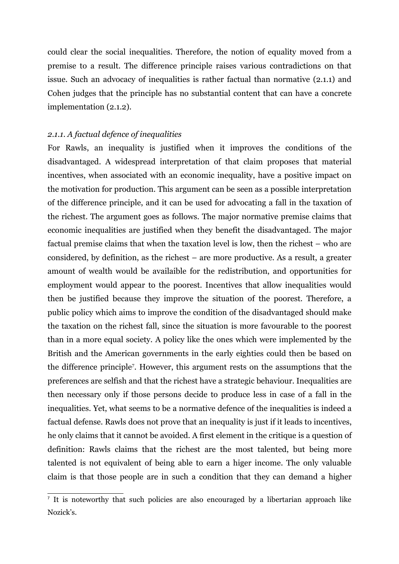could clear the social inequalities. Therefore, the notion of equality moved from a premise to a result. The difference principle raises various contradictions on that issue. Such an advocacy of inequalities is rather factual than normative (2.1.1) and Cohen judges that the principle has no substantial content that can have a concrete implementation (2.1.2).

#### *2.1.1. A factual defence of inequalities*

For Rawls, an inequality is justified when it improves the conditions of the disadvantaged. A widespread interpretation of that claim proposes that material incentives, when associated with an economic inequality, have a positive impact on the motivation for production. This argument can be seen as a possible interpretation of the difference principle, and it can be used for advocating a fall in the taxation of the richest. The argument goes as follows. The major normative premise claims that economic inequalities are justified when they benefit the disadvantaged. The major factual premise claims that when the taxation level is low, then the richest – who are considered, by definition, as the richest – are more productive. As a result, a greater amount of wealth would be availaible for the redistribution, and opportunities for employment would appear to the poorest. Incentives that allow inequalities would then be justified because they improve the situation of the poorest. Therefore, a public policy which aims to improve the condition of the disadvantaged should make the taxation on the richest fall, since the situation is more favourable to the poorest than in a more equal society. A policy like the ones which were implemented by the British and the American governments in the early eighties could then be based on the difference principle[7](#page-9-0) . However, this argument rests on the assumptions that the preferences are selfish and that the richest have a strategic behaviour. Inequalities are then necessary only if those persons decide to produce less in case of a fall in the inequalities. Yet, what seems to be a normative defence of the inequalities is indeed a factual defense. Rawls does not prove that an inequality is just if it leads to incentives, he only claims that it cannot be avoided. A first element in the critique is a question of definition: Rawls claims that the richest are the most talented, but being more talented is not equivalent of being able to earn a higer income. The only valuable claim is that those people are in such a condition that they can demand a higher

<span id="page-9-0"></span><sup>&</sup>lt;sup>7</sup> It is noteworthy that such policies are also encouraged by a libertarian approach like Nozick's.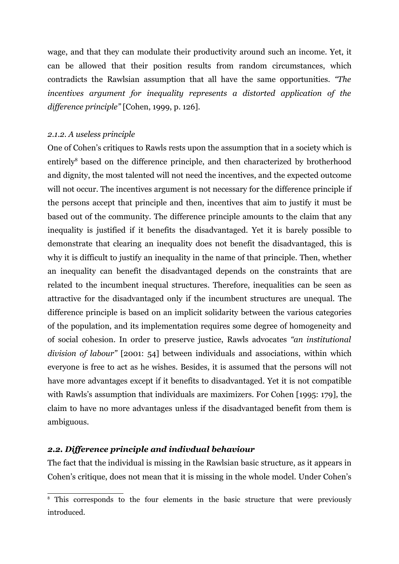wage, and that they can modulate their productivity around such an income. Yet, it can be allowed that their position results from random circumstances, which contradicts the Rawlsian assumption that all have the same opportunities. *"The incentives argument for inequality represents a distorted application of the difference principle"* [Cohen, 1999, p. 126].

#### *2.1.2. A useless principle*

One of Cohen's critiques to Rawls rests upon the assumption that in a society which is entirely<sup>[8](#page-10-0)</sup> based on the difference principle, and then characterized by brotherhood and dignity, the most talented will not need the incentives, and the expected outcome will not occur. The incentives argument is not necessary for the difference principle if the persons accept that principle and then, incentives that aim to justify it must be based out of the community. The difference principle amounts to the claim that any inequality is justified if it benefits the disadvantaged. Yet it is barely possible to demonstrate that clearing an inequality does not benefit the disadvantaged, this is why it is difficult to justify an inequality in the name of that principle. Then, whether an inequality can benefit the disadvantaged depends on the constraints that are related to the incumbent inequal structures. Therefore, inequalities can be seen as attractive for the disadvantaged only if the incumbent structures are unequal. The difference principle is based on an implicit solidarity between the various categories of the population, and its implementation requires some degree of homogeneity and of social cohesion. In order to preserve justice, Rawls advocates *"an institutional division of labour"* [2001: 54] between individuals and associations, within which everyone is free to act as he wishes. Besides, it is assumed that the persons will not have more advantages except if it benefits to disadvantaged. Yet it is not compatible with Rawls's assumption that individuals are maximizers. For Cohen [1995: 179], the claim to have no more advantages unless if the disadvantaged benefit from them is ambiguous.

### *2.2. Difference principle and indivdual behaviour*

The fact that the individual is missing in the Rawlsian basic structure, as it appears in Cohen's critique, does not mean that it is missing in the whole model. Under Cohen's

<span id="page-10-0"></span><sup>&</sup>lt;sup>8</sup> This corresponds to the four elements in the basic structure that were previously introduced.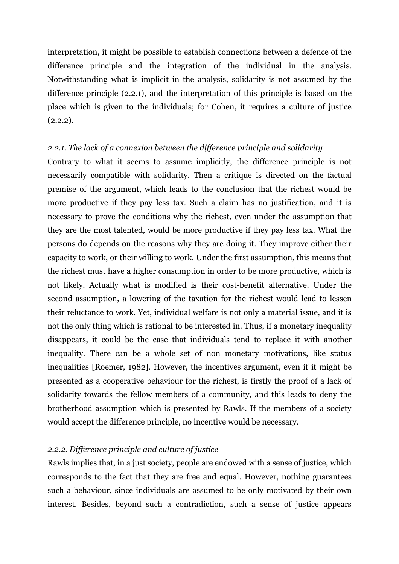interpretation, it might be possible to establish connections between a defence of the difference principle and the integration of the individual in the analysis. Notwithstanding what is implicit in the analysis, solidarity is not assumed by the difference principle (2.2.1), and the interpretation of this principle is based on the place which is given to the individuals; for Cohen, it requires a culture of justice  $(2.2.2).$ 

### *2.2.1. The lack of a connexion between the difference principle and solidarity*

Contrary to what it seems to assume implicitly, the difference principle is not necessarily compatible with solidarity. Then a critique is directed on the factual premise of the argument, which leads to the conclusion that the richest would be more productive if they pay less tax. Such a claim has no justification, and it is necessary to prove the conditions why the richest, even under the assumption that they are the most talented, would be more productive if they pay less tax. What the persons do depends on the reasons why they are doing it. They improve either their capacity to work, or their willing to work. Under the first assumption, this means that the richest must have a higher consumption in order to be more productive, which is not likely. Actually what is modified is their cost-benefit alternative. Under the second assumption, a lowering of the taxation for the richest would lead to lessen their reluctance to work. Yet, individual welfare is not only a material issue, and it is not the only thing which is rational to be interested in. Thus, if a monetary inequality disappears, it could be the case that individuals tend to replace it with another inequality. There can be a whole set of non monetary motivations, like status inequalities [Roemer, 1982]. However, the incentives argument, even if it might be presented as a cooperative behaviour for the richest, is firstly the proof of a lack of solidarity towards the fellow members of a community, and this leads to deny the brotherhood assumption which is presented by Rawls. If the members of a society would accept the difference principle, no incentive would be necessary.

### *2.2.2. Difference principle and culture of justice*

Rawls implies that, in a just society, people are endowed with a sense of justice, which corresponds to the fact that they are free and equal. However, nothing guarantees such a behaviour, since individuals are assumed to be only motivated by their own interest. Besides, beyond such a contradiction, such a sense of justice appears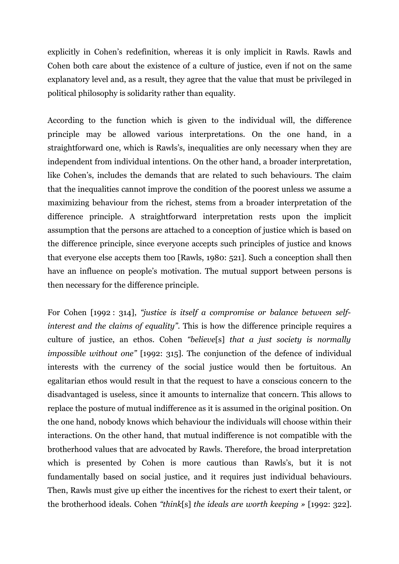explicitly in Cohen's redefinition, whereas it is only implicit in Rawls. Rawls and Cohen both care about the existence of a culture of justice, even if not on the same explanatory level and, as a result, they agree that the value that must be privileged in political philosophy is solidarity rather than equality.

According to the function which is given to the individual will, the difference principle may be allowed various interpretations. On the one hand, in a straightforward one, which is Rawls's, inequalities are only necessary when they are independent from individual intentions. On the other hand, a broader interpretation, like Cohen's, includes the demands that are related to such behaviours. The claim that the inequalities cannot improve the condition of the poorest unless we assume a maximizing behaviour from the richest, stems from a broader interpretation of the difference principle. A straightforward interpretation rests upon the implicit assumption that the persons are attached to a conception of justice which is based on the difference principle, since everyone accepts such principles of justice and knows that everyone else accepts them too [Rawls, 1980: 521]. Such a conception shall then have an influence on people's motivation. The mutual support between persons is then necessary for the difference principle.

For Cohen [1992 : 314], *"justice is itself a compromise or balance between selfinterest and the claims of equality"*. This is how the difference principle requires a culture of justice, an ethos. Cohen *"believe*[s] *that a just society is normally impossible without one"* [1992: 315]. The conjunction of the defence of individual interests with the currency of the social justice would then be fortuitous. An egalitarian ethos would result in that the request to have a conscious concern to the disadvantaged is useless, since it amounts to internalize that concern. This allows to replace the posture of mutual indifference as it is assumed in the original position. On the one hand, nobody knows which behaviour the individuals will choose within their interactions. On the other hand, that mutual indifference is not compatible with the brotherhood values that are advocated by Rawls. Therefore, the broad interpretation which is presented by Cohen is more cautious than Rawls's, but it is not fundamentally based on social justice, and it requires just individual behaviours. Then, Rawls must give up either the incentives for the richest to exert their talent, or the brotherhood ideals. Cohen *"think*[s] *the ideals are worth keeping »* [1992: 322].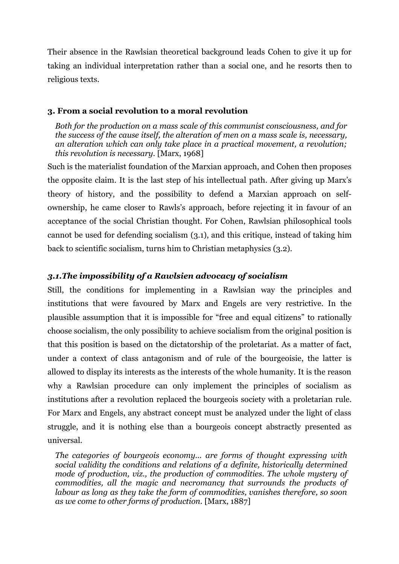Their absence in the Rawlsian theoretical background leads Cohen to give it up for taking an individual interpretation rather than a social one, and he resorts then to religious texts.

# **3. From a social revolution to a moral revolution**

*Both for the production on a mass scale of this communist consciousness, and for the success of the cause itself, the alteration of men on a mass scale is, necessary, an alteration which can only take place in a practical movement, a revolution; this revolution is necessary.* [Marx, 1968]

Such is the materialist foundation of the Marxian approach, and Cohen then proposes the opposite claim. It is the last step of his intellectual path. After giving up Marx's theory of history, and the possibility to defend a Marxian approach on selfownership, he came closer to Rawls's approach, before rejecting it in favour of an acceptance of the social Christian thought. For Cohen, Rawlsian philosophical tools cannot be used for defending socialism (3.1), and this critique, instead of taking him back to scientific socialism, turns him to Christian metaphysics (3.2).

# *3.1.The impossibility of a Rawlsien advocacy of socialism*

Still, the conditions for implementing in a Rawlsian way the principles and institutions that were favoured by Marx and Engels are very restrictive. In the plausible assumption that it is impossible for "free and equal citizens" to rationally choose socialism, the only possibility to achieve socialism from the original position is that this position is based on the dictatorship of the proletariat. As a matter of fact, under a context of class antagonism and of rule of the bourgeoisie, the latter is allowed to display its interests as the interests of the whole humanity. It is the reason why a Rawlsian procedure can only implement the principles of socialism as institutions after a revolution replaced the bourgeois society with a proletarian rule. For Marx and Engels, any abstract concept must be analyzed under the light of class struggle, and it is nothing else than a bourgeois concept abstractly presented as universal.

*The categories of bourgeois economy... are forms of thought expressing with social validity the conditions and relations of a definite, historically determined mode of production, viz., the production of commodities. The whole mystery of commodities, all the magic and necromancy that surrounds the products of labour as long as they take the form of commodities, vanishes therefore, so soon as we come to other forms of production.* [Marx, 1887]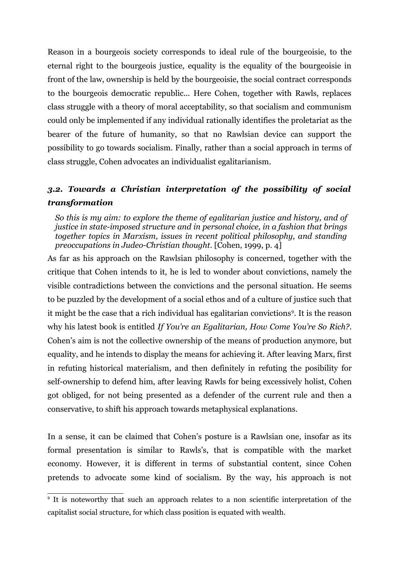Reason in a bourgeois society corresponds to ideal rule of the bourgeoisie, to the eternal right to the bourgeois justice, equality is the equality of the bourgeoisie in front of the law, ownership is held by the bourgeoisie, the social contract corresponds to the bourgeois democratic republic... Here Cohen, together with Rawls, replaces class struggle with a theory of moral acceptability, so that socialism and communism could only be implemented if any individual rationally identifies the proletariat as the bearer of the future of humanity, so that no Rawlsian device can support the possibility to go towards socialism. Finally, rather than a social approach in terms of class struggle, Cohen advocates an individualist egalitarianism.

# *3.2. Towards a Christian interpretation of the possibility of social transformation*

*So this is my aim: to explore the theme of egalitarian justice and history, and of justice in state-imposed structure and in personal choice, in a fashion that brings together topics in Marxism, issues in recent political philosophy, and standing preoccupations in Judeo-Christian thought.* [Cohen, 1999, p. 4]

As far as his approach on the Rawlsian philosophy is concerned, together with the critique that Cohen intends to it, he is led to wonder about convictions, namely the visible contradictions between the convictions and the personal situation. He seems to be puzzled by the development of a social ethos and of a culture of justice such that it might be the case that a rich individual has egalitarian convictions<sup>[9](#page-14-0)</sup>. It is the reason why his latest book is entitled *If You're an Egalitarian, How Come You're So Rich?*. Cohen's aim is not the collective ownership of the means of production anymore, but equality, and he intends to display the means for achieving it. After leaving Marx, first in refuting historical materialism, and then definitely in refuting the posibility for self-ownership to defend him, after leaving Rawls for being excessively holist, Cohen got obliged, for not being presented as a defender of the current rule and then a conservative, to shift his approach towards metaphysical explanations.

In a sense, it can be claimed that Cohen's posture is a Rawlsian one, insofar as its formal presentation is similar to Rawls's, that is compatible with the market economy. However, it is different in terms of substantial content, since Cohen pretends to advocate some kind of socialism. By the way, his approach is not

<span id="page-14-0"></span><sup>9</sup> It is noteworthy that such an approach relates to a non scientific interpretation of the capitalist social structure, for which class position is equated with wealth.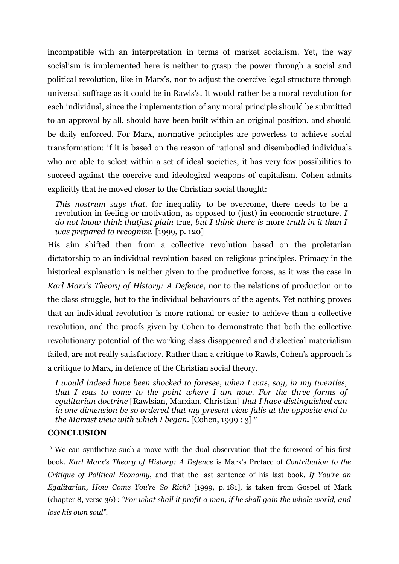incompatible with an interpretation in terms of market socialism. Yet, the way socialism is implemented here is neither to grasp the power through a social and political revolution, like in Marx's, nor to adjust the coercive legal structure through universal suffrage as it could be in Rawls's. It would rather be a moral revolution for each individual, since the implementation of any moral principle should be submitted to an approval by all, should have been built within an original position, and should be daily enforced. For Marx, normative principles are powerless to achieve social transformation: if it is based on the reason of rational and disembodied individuals who are able to select within a set of ideal societies, it has very few possibilities to succeed against the coercive and ideological weapons of capitalism. Cohen admits explicitly that he moved closer to the Christian social thought:

*This nostrum says that,* for inequality to be overcome, there needs to be a revolution in feeling or motivation, as opposed to (just) in economic structure. *I do not know think thatjust plain* true*, but I think there is* more *truth in it than I was prepared to recognize.* [1999, p. 120]

His aim shifted then from a collective revolution based on the proletarian dictatorship to an individual revolution based on religious principles. Primacy in the historical explanation is neither given to the productive forces, as it was the case in *Karl Marx's Theory of History: A Defence*, nor to the relations of production or to the class struggle, but to the individual behaviours of the agents. Yet nothing proves that an individual revolution is more rational or easier to achieve than a collective revolution, and the proofs given by Cohen to demonstrate that both the collective revolutionary potential of the working class disappeared and dialectical materialism failed, are not really satisfactory. Rather than a critique to Rawls, Cohen's approach is a critique to Marx, in defence of the Christian social theory.

*I would indeed have been shocked to foresee, when I was, say, in my twenties, that I was to come to the point where I am now. For the three forms of egalitarian doctrine* [Rawlsian, Marxian, Christian] *that I have distinguished can in one dimension be so ordered that my present view falls at the opposite end to the Marxist view with which I began.* [Cohen, 1999 : 3]*[10](#page-15-0)*

### **CONCLUSION**

<span id="page-15-0"></span><sup>10</sup> We can synthetize such a move with the dual observation that the foreword of his first book, *Karl Marx's Theory of History: A Defence* is Marx's Preface of *Contribution to the Critique of Political Economy*, and that the last sentence of his last book, *If You're an Egalitarian, How Come You're So Rich?* [1999, p. 181], is taken from Gospel of Mark (chapter 8, verse 36) : *"For what shall it profit a man, if he shall gain the whole world, and lose his own soul"*.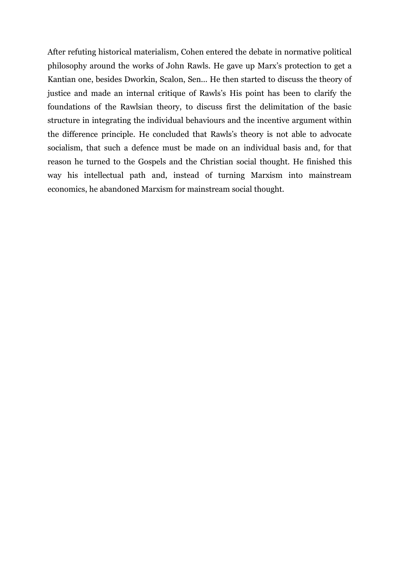After refuting historical materialism, Cohen entered the debate in normative political philosophy around the works of John Rawls. He gave up Marx's protection to get a Kantian one, besides Dworkin, Scalon, Sen... He then started to discuss the theory of justice and made an internal critique of Rawls's His point has been to clarify the foundations of the Rawlsian theory, to discuss first the delimitation of the basic structure in integrating the individual behaviours and the incentive argument within the difference principle. He concluded that Rawls's theory is not able to advocate socialism, that such a defence must be made on an individual basis and, for that reason he turned to the Gospels and the Christian social thought. He finished this way his intellectual path and, instead of turning Marxism into mainstream economics, he abandoned Marxism for mainstream social thought.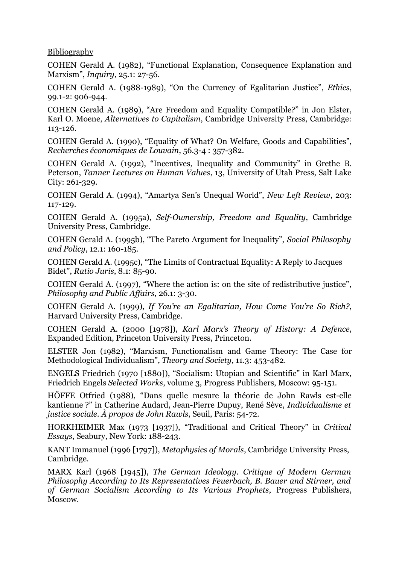Bibliography

COHEN Gerald A. (1982), "Functional Explanation, Consequence Explanation and Marxism", *Inquiry*, 25.1: 27-56.

COHEN Gerald A. (1988-1989), "On the Currency of Egalitarian Justice", *Ethics*, 99.1-2: 906-944.

COHEN Gerald A. (1989), "Are Freedom and Equality Compatible?" in Jon Elster, Karl O. Moene, *Alternatives to Capitalism*, Cambridge University Press, Cambridge: 113-126.

COHEN Gerald A. (1990), "Equality of What? On Welfare, Goods and Capabilities", *Recherches économiques de Louvain*, 56.3-4 : 357-382.

COHEN Gerald A. (1992), "Incentives, Inequality and Community" in Grethe B. Peterson, *Tanner Lectures on Human Values*, 13, University of Utah Press, Salt Lake City: 261-329.

COHEN Gerald A. (1994), "Amartya Sen's Unequal World", *New Left Review*, 203: 117-129.

COHEN Gerald A. (1995a), *Self-Ownership, Freedom and Equality*, Cambridge University Press, Cambridge.

COHEN Gerald A. (1995b), "The Pareto Argument for Inequality", *Social Philosophy and Policy*, 12.1: 160-185.

COHEN Gerald A. (1995c), "The Limits of Contractual Equality: A Reply to Jacques Bidet", *Ratio Juris*, 8.1: 85-90.

COHEN Gerald A. (1997), "Where the action is: on the site of redistributive justice", *Philosophy and Public Affairs*, 26.1: 3-30.

COHEN Gerald A. (1999), *If You're an Egalitarian, How Come You're So Rich?*, Harvard University Press, Cambridge.

COHEN Gerald A. (2000 [1978]), *Karl Marx's Theory of History: A Defence*, Expanded Edition, Princeton University Press, Princeton.

ELSTER Jon (1982), "Marxism, Functionalism and Game Theory: The Case for Methodological Individualism", *Theory and Society*, 11.3: 453-482.

ENGELS Friedrich (1970 [1880]), "Socialism: Utopian and Scientific" in Karl Marx, Friedrich Engels *Selected Works*, volume 3, Progress Publishers, Moscow: 95-151.

HÖFFE Otfried (1988), "Dans quelle mesure la théorie de John Rawls est-elle kantienne ?" in Catherine Audard, Jean-Pierre Dupuy, René Sève, *Individualisme et justice sociale. À propos de John Rawls*, Seuil, Paris: 54-72.

HORKHEIMER Max (1973 [1937]), "Traditional and Critical Theory" in *Critical Essays*, Seabury, New York: 188-243.

KANT Immanuel (1996 [1797]), *Metaphysics of Morals*, Cambridge University Press, Cambridge.

MARX Karl (1968 [1945]), *The German Ideology. Critique of Modern German Philosophy According to Its Representatives Feuerbach, B. Bauer and Stirner, and of German Socialism According to Its Various Prophets*, Progress Publishers, Moscow.